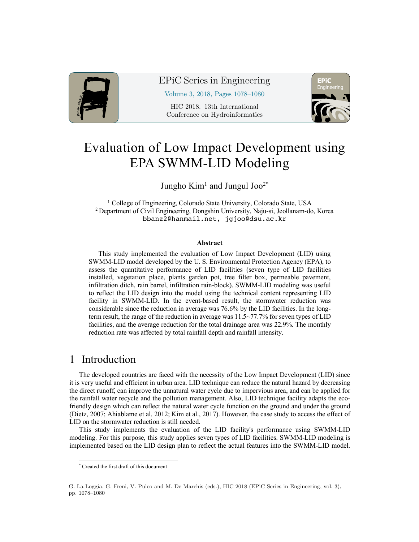

EPiC Series in Engineering

Volume 3, 2018, Pages 1078–1080

HIC 2018. 13th International Conference on Hydroinformatics



# Evaluation of Low Impact Development using EPA SWMM-LID Modeling

Jungho  $Kim<sup>1</sup>$  and Jungul Joo<sup>2\*</sup>

<sup>1</sup> College of Engineering, Colorado State University, Colorado State, USA <sup>2</sup> Department of Civil Engineering, Dongshin University, Naju-si, Jeollanam-do, Korea bbanz2@hanmail.net, jgjoo@dsu.ac.kr

#### **Abstract**

This study implemented the evaluation of Low Impact Development (LID) using SWMM-LID model developed by the U. S. Environmental Protection Agency (EPA), to assess the quantitative performance of LID facilities (seven type of LID facilities installed, vegetation place, plants garden pot, tree filter box, permeable pavement, infiltration ditch, rain barrel, infiltration rain-block). SWMM-LID modeling was useful to reflect the LID design into the model using the technical content representing LID facility in SWMM-LID. In the event-based result, the stormwater reduction was considerable since the reduction in average was 76.6% by the LID facilities. In the longterm result, the range of the reduction in average was 11.5~77.7% for seven types of LID facilities, and the average reduction for the total drainage area was 22.9%. The monthly reduction rate was affected by total rainfall depth and rainfall intensity.

### 1 Introduction

The developed countries are faced with the necessity of the Low Impact Development (LID) since it is very useful and efficient in urban area. LID technique can reduce the natural hazard by decreasing the direct runoff, can improve the unnatural water cycle due to impervious area, and can be applied for the rainfall water recycle and the pollution management. Also, LID technique facility adapts the ecofriendly design which can reflect the natural water cycle function on the ground and under the ground (Dietz, 2007; Ahiablame et al. 2012; Kim et al., 2017). However, the case study to access the effect of LID on the stormwater reduction is still needed.

This study implements the evaluation of the LID facility's performance using SWMM-LID modeling. For this purpose, this study applies seven types of LID facilities. SWMM-LID modeling is implemented based on the LID design plan to reflect the actual features into the SWMM-LID model.

 <sup>\*</sup> Created the first draft of this document

G. La Loggia, G. Freni, V. Puleo and M. De Marchis (eds.), HIC 2018 (EPiC Series in Engineering, vol. 3), pp. 1078–1080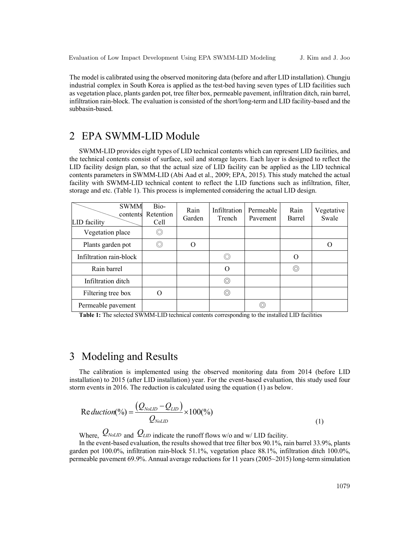The model is calibrated using the observed monitoring data (before and after LID installation). Chungju industrial complex in South Korea is applied as the test-bed having seven types of LID facilities such as vegetation place, plants garden pot, tree filter box, permeable pavement, infiltration ditch, rain barrel, infiltration rain-block. The evaluation is consisted of the short/long-term and LID facility-based and the subbasin-based.

## 2 EPA SWMM-LID Module

SWMM-LID provides eight types of LID technical contents which can represent LID facilities, and the technical contents consist of surface, soil and storage layers. Each layer is designed to reflect the LID facility design plan, so that the actual size of LID facility can be applied as the LID technical contents parameters in SWMM-LID (Abi Aad et al., 2009; EPA, 2015). This study matched the actual facility with SWMM-LID technical content to reflect the LID functions such as infiltration, filter, storage and etc. (Table 1). This process is implemented considering the actual LID design.

| <b>SWMM</b><br>contents<br>LID facility | Bio-<br>Retention<br>Cell | Rain<br>Garden | Infiltration<br>Trench | Permeable<br>Pavement | Rain<br>Barrel | Vegetative<br>Swale |
|-----------------------------------------|---------------------------|----------------|------------------------|-----------------------|----------------|---------------------|
| Vegetation place                        | $\circledcirc$            |                |                        |                       |                |                     |
| Plants garden pot                       | $\circledcirc$            |                |                        |                       |                |                     |
| Infiltration rain-block                 |                           |                | 0                      |                       | $\Omega$       |                     |
| Rain barrel                             |                           |                | O                      |                       | 0              |                     |
| Infiltration ditch                      |                           |                | ⊚                      |                       |                |                     |
| Filtering tree box                      |                           |                | 0                      |                       |                |                     |
| Permeable pavement                      |                           |                |                        | (O)                   |                |                     |

**Table 1:** The selected SWMM-LID technical contents corresponding to the installed LID facilities

#### 3 Modeling and Results

The calibration is implemented using the observed monitoring data from 2014 (before LID installation) to 2015 (after LID installation) year. For the event-based evaluation, this study used four storm events in 2016. The reduction is calculated using the equation (1) as below.

$$
Re \,duction(^{o}/_{o}) = \frac{(Q_{NolID} - Q_{LID})}{Q_{NolID}} \times 100(^{o}/_{o})
$$
\n(1)

Where,  $Q_{\text{NoLID}}$  and  $Q_{\text{LID}}$  indicate the runoff flows w/o and w/ LID facility.

In the event-based evaluation, the results showed that tree filter box 90.1%, rain barrel 33.9%, plants garden pot 100.0%, infiltration rain-block 51.1%, vegetation place 88.1%, infiltration ditch 100.0%, permeable pavement 69.9%. Annual average reductions for 11 years (2005~2015) long-term simulation